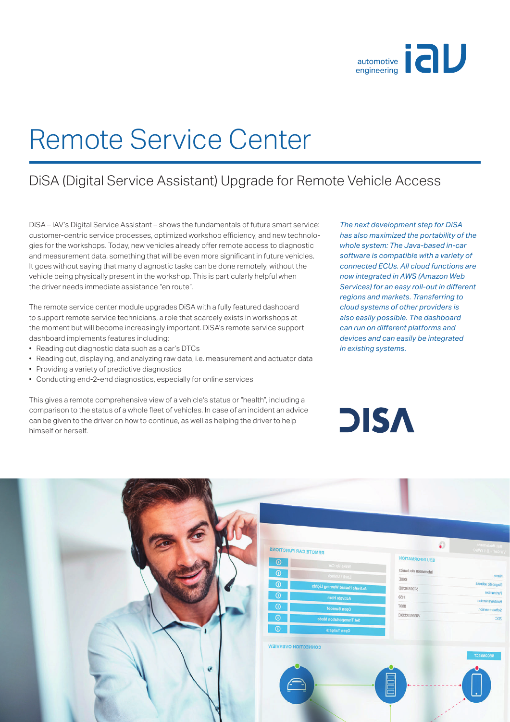

## Remote Service Center

## DiSA (Digital Service Assistant) Upgrade for Remote Vehicle Access

DiSA – IAV's Digital Service Assistant – shows the fundamentals of future smart service: customer-centric service processes, optimized workshop efficiency, and new technologies for the workshops. Today, new vehicles already offer remote access to diagnostic and measurement data, something that will be even more significant in future vehicles. It goes without saying that many diagnostic tasks can be done remotely, without the vehicle being physically present in the workshop. This is particularly helpful when the driver needs immediate assistance "en route".

The remote service center module upgrades DiSA with a fully featured dashboard to support remote service technicians, a role that scarcely exists in workshops at the moment but will become increasingly important. DiSA's remote service support dashboard implements features including:

- Reading out diagnostic data such as a car's DTCs
- Reading out, displaying, and analyzing raw data, i.e. measurement and actuator data
- Providing a variety of predictive diagnostics
- Conducting end-2-end diagnostics, especially for online services

This gives a remote comprehensive view of a vehicle's status or "health", including a comparison to the status of a whole fleet of vehicles. In case of an incident an advice can be given to the driver on how to continue, as well as helping the driver to help himself or herself.

*The next development step for DiSA has also maximized the portability of the whole system: The Java-based in-car software is compatible with a variety of connected ECUs. All cloud functions are now integrated in AWS (Amazon Web*  Services) for an easy roll-out in different *regions and markets. Transferring to cloud systems of other providers is also easily possible. The dashboard can run on diff erent platforms and devices and can easily be integrated in existing systems.*

**DISA**